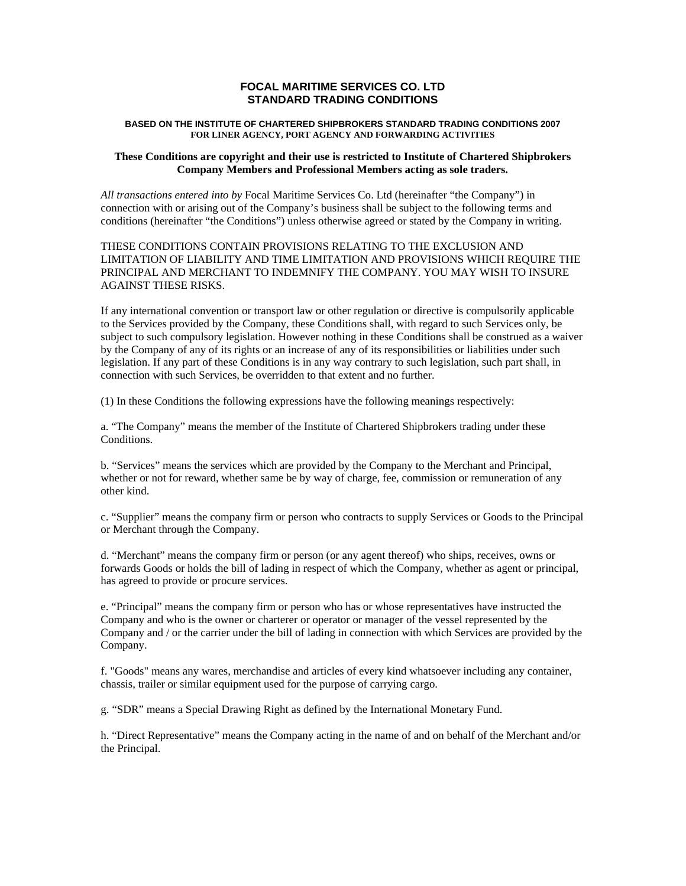# **FOCAL MARITIME SERVICES CO. LTD STANDARD TRADING CONDITIONS**

#### **BASED ON THE INSTITUTE OF CHARTERED SHIPBROKERS STANDARD TRADING CONDITIONS 2007 FOR LINER AGENCY, PORT AGENCY AND FORWARDING ACTIVITIES**

### **These Conditions are copyright and their use is restricted to Institute of Chartered Shipbrokers Company Members and Professional Members acting as sole traders.**

*All transactions entered into by* Focal Maritime Services Co. Ltd (hereinafter "the Company") in connection with or arising out of the Company's business shall be subject to the following terms and conditions (hereinafter "the Conditions") unless otherwise agreed or stated by the Company in writing.

### THESE CONDITIONS CONTAIN PROVISIONS RELATING TO THE EXCLUSION AND LIMITATION OF LIABILITY AND TIME LIMITATION AND PROVISIONS WHICH REQUIRE THE PRINCIPAL AND MERCHANT TO INDEMNIFY THE COMPANY. YOU MAY WISH TO INSURE AGAINST THESE RISKS.

If any international convention or transport law or other regulation or directive is compulsorily applicable to the Services provided by the Company, these Conditions shall, with regard to such Services only, be subject to such compulsory legislation. However nothing in these Conditions shall be construed as a waiver by the Company of any of its rights or an increase of any of its responsibilities or liabilities under such legislation. If any part of these Conditions is in any way contrary to such legislation, such part shall, in connection with such Services, be overridden to that extent and no further.

(1) In these Conditions the following expressions have the following meanings respectively:

a. "The Company" means the member of the Institute of Chartered Shipbrokers trading under these Conditions.

b. "Services" means the services which are provided by the Company to the Merchant and Principal, whether or not for reward, whether same be by way of charge, fee, commission or remuneration of any other kind.

c. "Supplier" means the company firm or person who contracts to supply Services or Goods to the Principal or Merchant through the Company.

d. "Merchant" means the company firm or person (or any agent thereof) who ships, receives, owns or forwards Goods or holds the bill of lading in respect of which the Company, whether as agent or principal, has agreed to provide or procure services.

e. "Principal" means the company firm or person who has or whose representatives have instructed the Company and who is the owner or charterer or operator or manager of the vessel represented by the Company and / or the carrier under the bill of lading in connection with which Services are provided by the Company.

f. "Goods" means any wares, merchandise and articles of every kind whatsoever including any container, chassis, trailer or similar equipment used for the purpose of carrying cargo.

g. "SDR" means a Special Drawing Right as defined by the International Monetary Fund.

h. "Direct Representative" means the Company acting in the name of and on behalf of the Merchant and/or the Principal.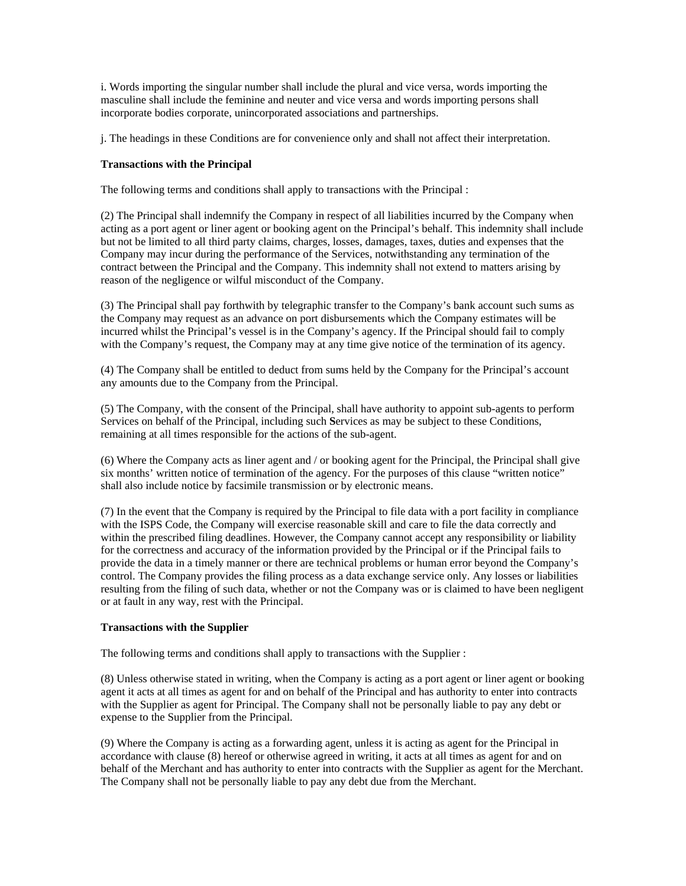i. Words importing the singular number shall include the plural and vice versa, words importing the masculine shall include the feminine and neuter and vice versa and words importing persons shall incorporate bodies corporate, unincorporated associations and partnerships.

j. The headings in these Conditions are for convenience only and shall not affect their interpretation.

## **Transactions with the Principal**

The following terms and conditions shall apply to transactions with the Principal :

(2) The Principal shall indemnify the Company in respect of all liabilities incurred by the Company when acting as a port agent or liner agent or booking agent on the Principal's behalf. This indemnity shall include but not be limited to all third party claims, charges, losses, damages, taxes, duties and expenses that the Company may incur during the performance of the Services, notwithstanding any termination of the contract between the Principal and the Company. This indemnity shall not extend to matters arising by reason of the negligence or wilful misconduct of the Company.

(3) The Principal shall pay forthwith by telegraphic transfer to the Company's bank account such sums as the Company may request as an advance on port disbursements which the Company estimates will be incurred whilst the Principal's vessel is in the Company's agency. If the Principal should fail to comply with the Company's request, the Company may at any time give notice of the termination of its agency.

(4) The Company shall be entitled to deduct from sums held by the Company for the Principal's account any amounts due to the Company from the Principal.

(5) The Company, with the consent of the Principal, shall have authority to appoint sub-agents to perform Services on behalf of the Principal, including such **S**ervices as may be subject to these Conditions, remaining at all times responsible for the actions of the sub-agent.

(6) Where the Company acts as liner agent and / or booking agent for the Principal, the Principal shall give six months' written notice of termination of the agency. For the purposes of this clause "written notice" shall also include notice by facsimile transmission or by electronic means.

(7) In the event that the Company is required by the Principal to file data with a port facility in compliance with the ISPS Code, the Company will exercise reasonable skill and care to file the data correctly and within the prescribed filing deadlines. However, the Company cannot accept any responsibility or liability for the correctness and accuracy of the information provided by the Principal or if the Principal fails to provide the data in a timely manner or there are technical problems or human error beyond the Company's control. The Company provides the filing process as a data exchange service only. Any losses or liabilities resulting from the filing of such data, whether or not the Company was or is claimed to have been negligent or at fault in any way, rest with the Principal.

#### **Transactions with the Supplier**

The following terms and conditions shall apply to transactions with the Supplier :

(8) Unless otherwise stated in writing, when the Company is acting as a port agent or liner agent or booking agent it acts at all times as agent for and on behalf of the Principal and has authority to enter into contracts with the Supplier as agent for Principal. The Company shall not be personally liable to pay any debt or expense to the Supplier from the Principal.

(9) Where the Company is acting as a forwarding agent, unless it is acting as agent for the Principal in accordance with clause (8) hereof or otherwise agreed in writing, it acts at all times as agent for and on behalf of the Merchant and has authority to enter into contracts with the Supplier as agent for the Merchant. The Company shall not be personally liable to pay any debt due from the Merchant.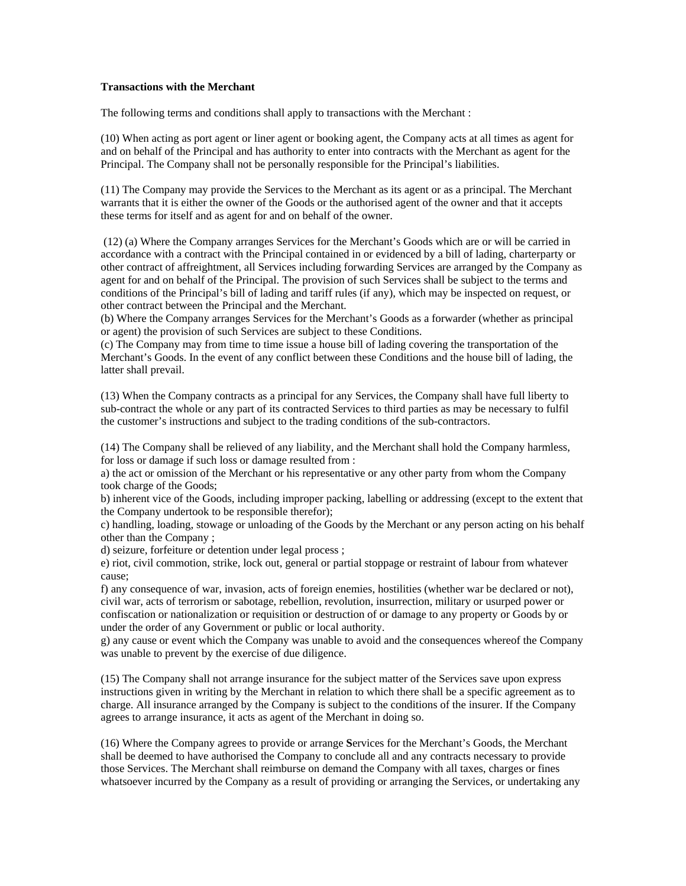### **Transactions with the Merchant**

The following terms and conditions shall apply to transactions with the Merchant :

(10) When acting as port agent or liner agent or booking agent, the Company acts at all times as agent for and on behalf of the Principal and has authority to enter into contracts with the Merchant as agent for the Principal. The Company shall not be personally responsible for the Principal's liabilities.

(11) The Company may provide the Services to the Merchant as its agent or as a principal. The Merchant warrants that it is either the owner of the Goods or the authorised agent of the owner and that it accepts these terms for itself and as agent for and on behalf of the owner.

 (12) (a) Where the Company arranges Services for the Merchant's Goods which are or will be carried in accordance with a contract with the Principal contained in or evidenced by a bill of lading, charterparty or other contract of affreightment, all Services including forwarding Services are arranged by the Company as agent for and on behalf of the Principal. The provision of such Services shall be subject to the terms and conditions of the Principal's bill of lading and tariff rules (if any), which may be inspected on request, or other contract between the Principal and the Merchant.

(b) Where the Company arranges Services for the Merchant's Goods as a forwarder (whether as principal or agent) the provision of such Services are subject to these Conditions.

(c) The Company may from time to time issue a house bill of lading covering the transportation of the Merchant's Goods. In the event of any conflict between these Conditions and the house bill of lading, the latter shall prevail.

(13) When the Company contracts as a principal for any Services, the Company shall have full liberty to sub-contract the whole or any part of its contracted Services to third parties as may be necessary to fulfil the customer's instructions and subject to the trading conditions of the sub-contractors.

(14) The Company shall be relieved of any liability, and the Merchant shall hold the Company harmless, for loss or damage if such loss or damage resulted from :

a) the act or omission of the Merchant or his representative or any other party from whom the Company took charge of the Goods;

b) inherent vice of the Goods, including improper packing, labelling or addressing (except to the extent that the Company undertook to be responsible therefor);

c) handling, loading, stowage or unloading of the Goods by the Merchant or any person acting on his behalf other than the Company ;

d) seizure, forfeiture or detention under legal process ;

e) riot, civil commotion, strike, lock out, general or partial stoppage or restraint of labour from whatever cause;

f) any consequence of war, invasion, acts of foreign enemies, hostilities (whether war be declared or not), civil war, acts of terrorism or sabotage, rebellion, revolution, insurrection, military or usurped power or confiscation or nationalization or requisition or destruction of or damage to any property or Goods by or under the order of any Government or public or local authority.

g) any cause or event which the Company was unable to avoid and the consequences whereof the Company was unable to prevent by the exercise of due diligence.

(15) The Company shall not arrange insurance for the subject matter of the Services save upon express instructions given in writing by the Merchant in relation to which there shall be a specific agreement as to charge. All insurance arranged by the Company is subject to the conditions of the insurer. If the Company agrees to arrange insurance, it acts as agent of the Merchant in doing so.

(16) Where the Company agrees to provide or arrange **S**ervices for the Merchant's Goods, the Merchant shall be deemed to have authorised the Company to conclude all and any contracts necessary to provide those Services. The Merchant shall reimburse on demand the Company with all taxes, charges or fines whatsoever incurred by the Company as a result of providing or arranging the Services, or undertaking any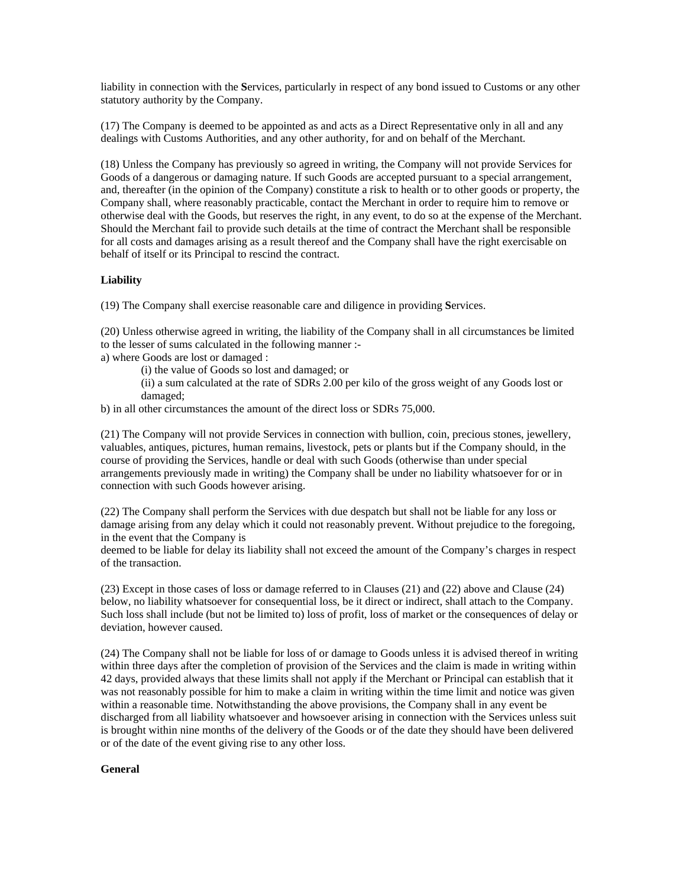liability in connection with the **S**ervices, particularly in respect of any bond issued to Customs or any other statutory authority by the Company.

(17) The Company is deemed to be appointed as and acts as a Direct Representative only in all and any dealings with Customs Authorities, and any other authority, for and on behalf of the Merchant.

(18) Unless the Company has previously so agreed in writing, the Company will not provide Services for Goods of a dangerous or damaging nature. If such Goods are accepted pursuant to a special arrangement, and, thereafter (in the opinion of the Company) constitute a risk to health or to other goods or property, the Company shall, where reasonably practicable, contact the Merchant in order to require him to remove or otherwise deal with the Goods, but reserves the right, in any event, to do so at the expense of the Merchant. Should the Merchant fail to provide such details at the time of contract the Merchant shall be responsible for all costs and damages arising as a result thereof and the Company shall have the right exercisable on behalf of itself or its Principal to rescind the contract.

### **Liability**

(19) The Company shall exercise reasonable care and diligence in providing **S**ervices.

(20) Unless otherwise agreed in writing, the liability of the Company shall in all circumstances be limited to the lesser of sums calculated in the following manner :-

a) where Goods are lost or damaged :

(i) the value of Goods so lost and damaged; or

(ii) a sum calculated at the rate of SDRs 2.00 per kilo of the gross weight of any Goods lost or damaged;

b) in all other circumstances the amount of the direct loss or SDRs 75,000.

(21) The Company will not provide Services in connection with bullion, coin, precious stones, jewellery, valuables, antiques, pictures, human remains, livestock, pets or plants but if the Company should, in the course of providing the Services, handle or deal with such Goods (otherwise than under special arrangements previously made in writing) the Company shall be under no liability whatsoever for or in connection with such Goods however arising.

(22) The Company shall perform the Services with due despatch but shall not be liable for any loss or damage arising from any delay which it could not reasonably prevent. Without prejudice to the foregoing, in the event that the Company is

deemed to be liable for delay its liability shall not exceed the amount of the Company's charges in respect of the transaction.

(23) Except in those cases of loss or damage referred to in Clauses (21) and (22) above and Clause (24) below, no liability whatsoever for consequential loss, be it direct or indirect, shall attach to the Company. Such loss shall include (but not be limited to) loss of profit, loss of market or the consequences of delay or deviation, however caused.

(24) The Company shall not be liable for loss of or damage to Goods unless it is advised thereof in writing within three days after the completion of provision of the Services and the claim is made in writing within 42 days, provided always that these limits shall not apply if the Merchant or Principal can establish that it was not reasonably possible for him to make a claim in writing within the time limit and notice was given within a reasonable time. Notwithstanding the above provisions, the Company shall in any event be discharged from all liability whatsoever and howsoever arising in connection with the Services unless suit is brought within nine months of the delivery of the Goods or of the date they should have been delivered or of the date of the event giving rise to any other loss.

#### **General**